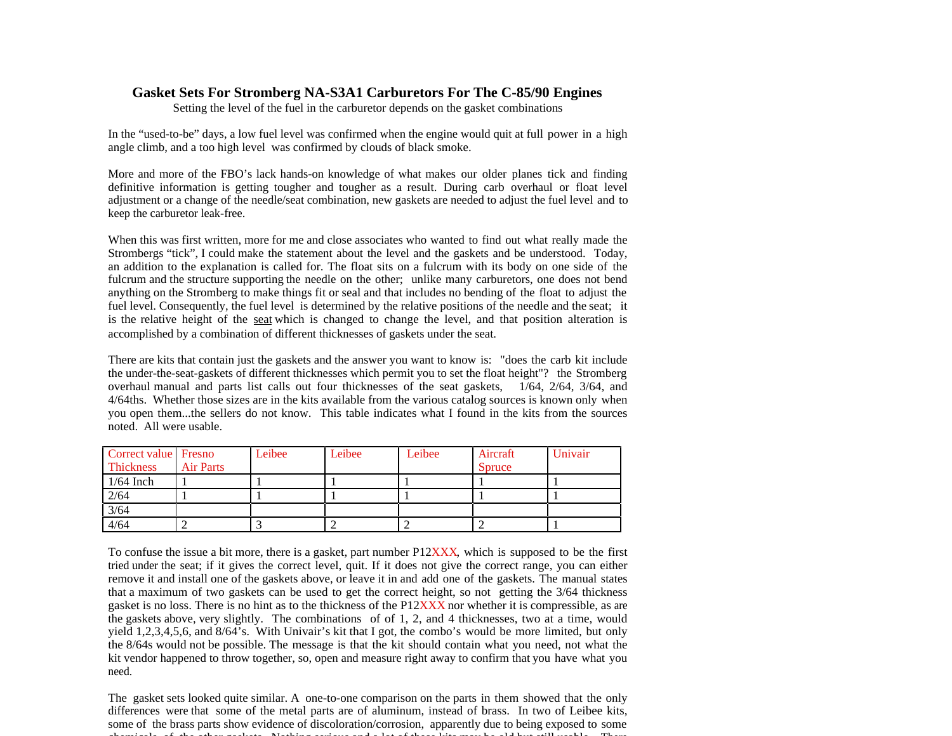## **Gasket Sets For Stromberg NA-S3A1 Carburetors For The C-85/90 Engines**

Setting the level of the fuel in the carburetor depends on the gasket combinations

In the "used-to-be" days, a low fuel level was confirmed when the engine would quit at full power in a high angle climb, and a too high level was confirmed by clouds of black smoke.

More and more of the FBO's lack hands-on knowledge of what makes our older planes tick and finding definitive information is getting tougher and tougher as a result. During carb overhaul or float level adjustment or a change of the needle/seat combination, new gaskets are needed to adjust the fuel level and to keep the carburetor leak-free.

When this was first written, more for me and close associates who wanted to find out what really made the Strombergs "tick", I could make the statement about the level and the gaskets and be understood. Today, an addition to the explanation is called for. The float sits on a fulcrum with its body on one side of the fulcrum and the structure supporting the needle on the other; unlike many carburetors, one does not bend anything on the Stromberg to make things fit or seal and that includes no bending of the float to adjust the fuel level. Consequently, the fuel level is determined by the relative positions of the needle and the seat; it is the relative height of the seat which is changed to change the level, and that position alteration is accomplished by a combination of different thicknesses of gaskets under the seat.

There are kits that contain just the gaskets and the answer you want to know is: "does the carb kit include the under-the-seat-gaskets of different thicknesses which permit you to set the float height"? the Stromberg overhaul manual and parts list calls out four thicknesses of the seat gaskets, 1/64, 2/64, 3/64, and 4/64ths. Whether those sizes are in the kits available from the various catalog sources is known only when you open them...the sellers do not know. This table indicates what I found in the kits from the sources noted. All were usable.

| Correct value Fresno<br>Thickness | <b>Air Parts</b> | Leibee | Leibee | Leibee | Aircraft<br>Spruce | Univair |
|-----------------------------------|------------------|--------|--------|--------|--------------------|---------|
| $1/64$ Inch                       |                  |        |        |        |                    |         |
| 2/64                              |                  |        |        |        |                    |         |
| $\frac{3}{64}$                    |                  |        |        |        |                    |         |
| 4/64                              |                  |        |        |        |                    |         |

To confuse the issue a bit more, there is a gasket, part number P12XXX, which is supposed to be the first tried under the seat; if it gives the correct level, quit. If it does not give the correct range, you can either remove it and install one of the gaskets above, or leave it in and add one of the gaskets. The manual states that a maximum of two gaskets can be used to get the correct height, so not getting the 3/64 thickness gasket is no loss. There is no hint as to the thickness of the  $P12XXX$  nor whether it is compressible, as are the gaskets above, very slightly. The combinations of of 1, 2, and 4 thicknesses, two at a time, would yield 1,2,3,4,5,6, and 8/64's. With Univair's kit that I got, the combo's would be more limited, but only the 8/64s would not be possible. The message is that the kit should contain what you need, not what the kit vendor happened to throw together, so, open and measure right away to confirm that you have what you need.

The gasket sets looked quite similar. A one-to-one comparison on the parts in them showed that the only differences were that some of the metal parts are of aluminum, instead of brass. In two of Leibee kits, some of the brass parts show evidence of discoloration/corrosion, apparently due to being exposed to some chemicals of the other gaskets. Nothing serious and a lot of these kits may be old but still usable. There